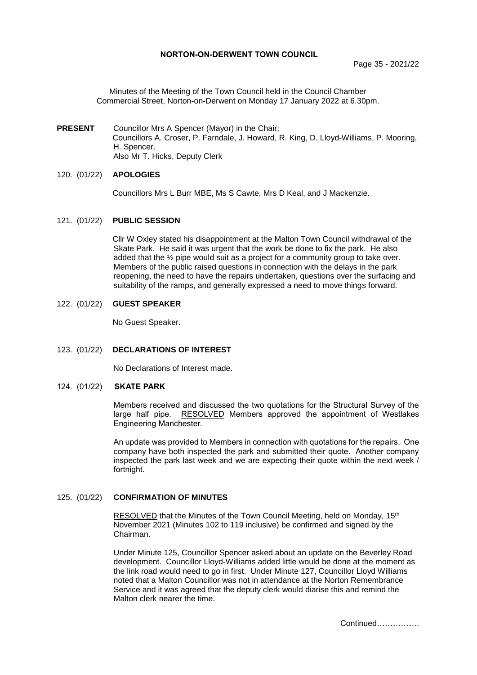### **NORTON-ON-DERWENT TOWN COUNCIL**

Page 35 - 2021/22

Minutes of the Meeting of the Town Council held in the Council Chamber Commercial Street, Norton-on-Derwent on Monday 17 January 2022 at 6.30pm.

**PRESENT** Councillor Mrs A Spencer (Mayor) in the Chair; Councillors A. Croser, P. Farndale, J. Howard, R. King, D. Lloyd-Williams, P. Mooring, H. Spencer. Also Mr T. Hicks, Deputy Clerk

### 120. (01/22) **APOLOGIES**

Councillors Mrs L Burr MBE, Ms S Cawte, Mrs D Keal, and J Mackenzie.

### 121. (01/22) **PUBLIC SESSION**

Cllr W Oxley stated his disappointment at the Malton Town Council withdrawal of the Skate Park. He said it was urgent that the work be done to fix the park. He also added that the ½ pipe would suit as a project for a community group to take over. Members of the public raised questions in connection with the delays in the park reopening, the need to have the repairs undertaken, questions over the surfacing and suitability of the ramps, and generally expressed a need to move things forward.

### 122. (01/22) **GUEST SPEAKER**

No Guest Speaker.

### 123. (01/22) **DECLARATIONS OF INTEREST**

No Declarations of Interest made.

#### 124. (01/22) **SKATE PARK**

Members received and discussed the two quotations for the Structural Survey of the large half pipe. RESOLVED Members approved the appointment of Westlakes Engineering Manchester.

An update was provided to Members in connection with quotations for the repairs. One company have both inspected the park and submitted their quote. Another company inspected the park last week and we are expecting their quote within the next week / fortnight.

### 125. (01/22) **CONFIRMATION OF MINUTES**

 RESOLVED that the Minutes of the Town Council Meeting, held on Monday, 15th November 2021 (Minutes 102 to 119 inclusive) be confirmed and signed by the Chairman.

Under Minute 125, Councillor Spencer asked about an update on the Beverley Road development. Councillor Lloyd-Williams added little would be done at the moment as the link road would need to go in first. Under Minute 127, Councillor Lloyd Williams noted that a Malton Councillor was not in attendance at the Norton Remembrance Service and it was agreed that the deputy clerk would diarise this and remind the Malton clerk nearer the time.

Continued…………….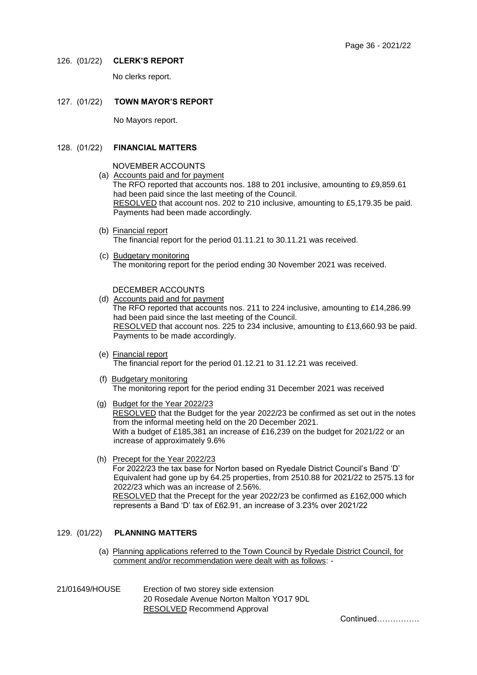### 126. (01/22) **CLERK'S REPORT**

No clerks report.

# 127. (01/22) **TOWN MAYOR'S REPORT**

No Mayors report.

# 128. (01/22) **FINANCIAL MATTERS**

- NOVEMBER ACCOUNTS
- (a) Accounts paid and for payment

The RFO reported that accounts nos. 188 to 201 inclusive, amounting to £9,859.61 had been paid since the last meeting of the Council. RESOLVED that account nos. 202 to 210 inclusive, amounting to £5,179.35 be paid. Payments had been made accordingly.

- (b) Financial report The financial report for the period 01.11.21 to 30.11.21 was received.
- (c) Budgetary monitoring The monitoring report for the period ending 30 November 2021 was received.

### DECEMBER ACCOUNTS

- (d) Accounts paid and for payment The RFO reported that accounts nos. 211 to 224 inclusive, amounting to £14,286.99 had been paid since the last meeting of the Council. RESOLVED that account nos. 225 to 234 inclusive, amounting to £13,660.93 be paid. Payments to be made accordingly.
- (e) Financial report The financial report for the period 01.12.21 to 31.12.21 was received.
- (f) Budgetary monitoring The monitoring report for the period ending 31 December 2021 was received
- (g) Budget for the Year 2022/23 RESOLVED that the Budget for the year 2022/23 be confirmed as set out in the notes from the informal meeting held on the 20 December 2021. With a budget of £185,381 an increase of £16,239 on the budget for 2021/22 or an increase of approximately 9.6%
- (h) Precept for the Year 2022/23 For 2022/23 the tax base for Norton based on Ryedale District Council's Band 'D' Equivalent had gone up by 64.25 properties, from 2510.88 for 2021/22 to 2575.13 for 2022/23 which was an increase of 2.56%. RESOLVED that the Precept for the year 2022/23 be confirmed as £162,000 which represents a Band 'D' tax of £62.91, an increase of 3.23% over 2021/22

# 129. (01/22) **PLANNING MATTERS**

- (a) Planning applications referred to the Town Council by Ryedale District Council, for comment and/or recommendation were dealt with as follows: -
- 21/01649/HOUSE Erection of two storey side extension 20 Rosedale Avenue Norton Malton YO17 9DL RESOLVED Recommend Approval

Continued…………….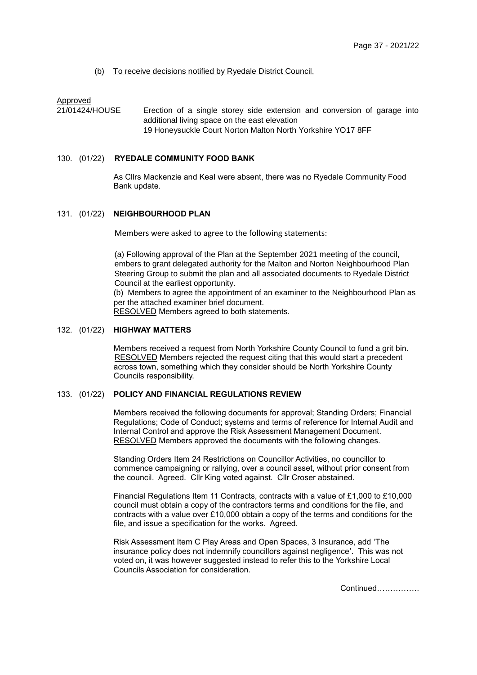### (b) To receive decisions notified by Ryedale District Council.

Approved

21/01424/HOUSE Erection of a single storey side extension and conversion of garage into additional living space on the east elevation 19 Honeysuckle Court Norton Malton North Yorkshire YO17 8FF

#### 130. (01/22) **RYEDALE COMMUNITY FOOD BANK**

As Cllrs Mackenzie and Keal were absent, there was no Ryedale Community Food Bank update.

#### 131. (01/22) **NEIGHBOURHOOD PLAN**

Members were asked to agree to the following statements:

(a) Following approval of the Plan at the September 2021 meeting of the council, embers to grant delegated authority for the Malton and Norton Neighbourhood Plan Steering Group to submit the plan and all associated documents to Ryedale District Council at the earliest opportunity.

(b) Members to agree the appointment of an examiner to the Neighbourhood Plan as per the attached examiner brief document.

RESOLVED Members agreed to both statements.

# 132. (01/22) **HIGHWAY MATTERS**

Members received a request from North Yorkshire County Council to fund a grit bin. RESOLVED Members rejected the request citing that this would start a precedent across town, something which they consider should be North Yorkshire County Councils responsibility.

# 133. (01/22) **POLICY AND FINANCIAL REGULATIONS REVIEW**

Members received the following documents for approval; Standing Orders; Financial Regulations; Code of Conduct; systems and terms of reference for Internal Audit and Internal Control and approve the Risk Assessment Management Document. RESOLVED Members approved the documents with the following changes.

Standing Orders Item 24 Restrictions on Councillor Activities, no councillor to commence campaigning or rallying, over a council asset, without prior consent from the council. Agreed. Cllr King voted against. Cllr Croser abstained.

Financial Regulations Item 11 Contracts, contracts with a value of £1,000 to £10,000 council must obtain a copy of the contractors terms and conditions for the file, and contracts with a value over £10,000 obtain a copy of the terms and conditions for the file, and issue a specification for the works. Agreed.

Risk Assessment Item C Play Areas and Open Spaces, 3 Insurance, add 'The insurance policy does not indemnify councillors against negligence'. This was not voted on, it was however suggested instead to refer this to the Yorkshire Local Councils Association for consideration.

Continued…………….